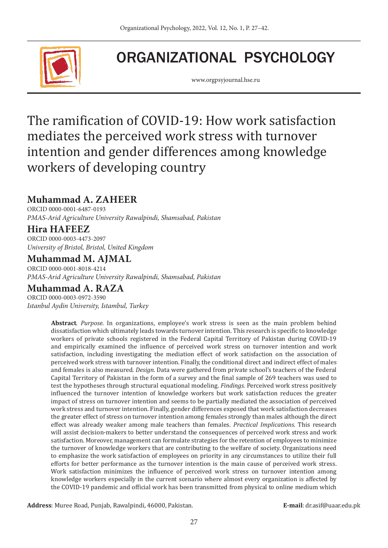

# ORGANIZATIONAL PSYCHOLOGY

www.orgpsyjournal.hse.ru

# The ramification of COVID-19: How work satisfaction mediates the perceived work stress with turnover intention and gender differences among knowledge workers of developing country

# **Muhammad A. ZAHEER**

ORCID 0000-0001-6487-0193 *PMAS-Arid Agriculture University Rawalpindi, Shamsabad, Pakistan*

# **Hira HAFEEZ**

ORCID 0000-0003-4473-2097 *University of Bristol, Bristol, United Kingdom*

## **Muhammad M. AJMAL**

ORCID 0000-0001-8018-4214 *PMAS-Arid Agriculture University Rawalpindi, Shamsabad, Pakistan*

## **Muhammad A. RAZA**

ORCID 0000-0003-0972-3590 *Istanbul Aydin University, Istambul, Turkey*

> **Abstract**. *Purpose*. In organizations, employee's work stress is seen as the main problem behind dissatisfaction which ultimately leads towards turnover intention. This research is specific to knowledge workers of private schools registered in the Federal Capital Territory of Pakistan during COVID-19 and empirically examined the influence of perceived work stress on turnover intention and work satisfaction, including investigating the mediation effect of work satisfaction on the association of perceived work stress with turnover intention. Finally, the conditional direct and indirect effect of males and females is also measured. *Design*. Data were gathered from private school's teachers of the Federal Capital Territory of Pakistan in the form of a survey and the final sample of 269 teachers was used to test the hypotheses through structural equational modeling. *Findings*. Perceived work stress positively influenced the turnover intention of knowledge workers but work satisfaction reduces the greater impact of stress on turnover intention and seems to be partially mediated the association of perceived work stress and turnover intention. Finally, gender differences exposed that work satisfaction decreases the greater effect of stress on turnover intention among females strongly than males although the direct effect was already weaker among male teachers than females. *Practical Implications.* This research will assist decision-makers to better understand the consequences of perceived work stress and work satisfaction. Moreover, management can formulate strategies for the retention of employees to minimize the turnover of knowledge workers that are contributing to the welfare of society. Organizations need to emphasize the work satisfaction of employees on priority in any circumstances to utilize their full efforts for better performance as the turnover intention is the main cause of perceived work stress. Work satisfaction minimizes the influence of perceived work stress on turnover intention among knowledge workers especially in the current scenario where almost every organization is affected by the COVID-19 pandemic and official work has been transmitted from physical to online medium which

**Address**: Muree Road, Punjab, Rawalpindi, 46000, Pakistan. **E-mail**: dr.asif@uaar.edu.pk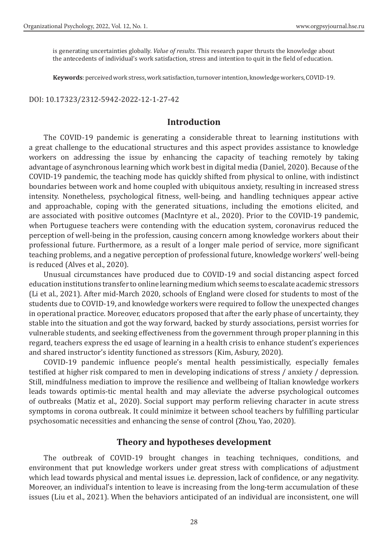is generating uncertainties globally. *Value of results*. This research paper thrusts the knowledge about the antecedents of individual's work satisfaction, stress and intention to quit in the field of education.

**Keywords**: perceived work stress, work satisfaction, turnover intention, knowledge workers, COVID-19.

#### DOI: 10.17323/2312-5942-2022-12-1-27-42

#### **Introduction**

The COVID-19 pandemic is generating a considerable threat to learning institutions with a great challenge to the educational structures and this aspect provides assistance to knowledge workers on addressing the issue by enhancing the capacity of teaching remotely by taking advantage of asynchronous learning which work best in digital media (Daniel, 2020). Because of the COVID-19 pandemic, the teaching mode has quickly shifted from physical to online, with indistinct boundaries between work and home coupled with ubiquitous anxiety, resulting in increased stress intensity. Nonetheless, psychological fitness, well-being, and handling techniques appear active and approachable, coping with the generated situations, including the emotions elicited, and are associated with positive outcomes (MacIntyre et al., 2020). Prior to the COVID-19 pandemic, when Portuguese teachers were contending with the education system, coronavirus reduced the perception of well-being in the profession, causing concern among knowledge workers about their professional future. Furthermore, as a result of a longer male period of service, more significant teaching problems, and a negative perception of professional future, knowledge workers' well-being is reduced (Alves et al., 2020).

Unusual circumstances have produced due to COVID-19 and social distancing aspect forced education institutions transfer to online learning medium which seems to escalate academic stressors (Li et al., 2021). After mid-March 2020, schools of England were closed for students to most of the students due to COVID-19, and knowledge workers were required to follow the unexpected changes in operational practice. Moreover, educators proposed that after the early phase of uncertainty, they stable into the situation and got the way forward, backed by sturdy associations, persist worries for vulnerable students, and seeking effectiveness from the government through proper planning in this regard, teachers express the ed usage of learning in a health crisis to enhance student's experiences and shared instructor's identity functioned as stressors (Kim, Asbury, 2020).

COVID-19 pandemic influence people's mental health pessimistically, especially females testified at higher risk compared to men in developing indications of stress / anxiety / depression. Still, mindfulness mediation to improve the resilience and wellbeing of Italian knowledge workers leads towards optimis-tic mental health and may alleviate the adverse psychological outcomes of outbreaks (Matiz et al., 2020). Social support may perform relieving character in acute stress symptoms in corona outbreak. It could minimize it between school teachers by fulfilling particular psychosomatic necessities and enhancing the sense of control (Zhou, Yao, 2020).

#### **Theory and hypotheses development**

The outbreak of COVID-19 brought changes in teaching techniques, conditions, and environment that put knowledge workers under great stress with complications of adjustment which lead towards physical and mental issues i.e. depression, lack of confidence, or any negativity. Moreover, an individual's intention to leave is increasing from the long-term accumulation of these issues (Liu et al., 2021). When the behaviors anticipated of an individual are inconsistent, one will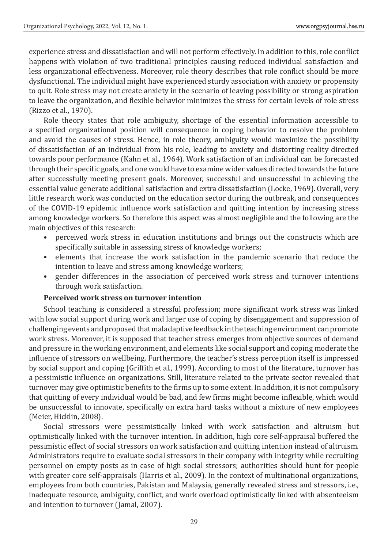experience stress and dissatisfaction and will not perform effectively. In addition to this, role conflict happens with violation of two traditional principles causing reduced individual satisfaction and less organizational effectiveness. Moreover, role theory describes that role conflict should be more dysfunctional. The individual might have experienced sturdy association with anxiety or propensity to quit. Role stress may not create anxiety in the scenario of leaving possibility or strong aspiration to leave the organization, and flexible behavior minimizes the stress for certain levels of role stress (Rizzo et al., 1970).

Role theory states that role ambiguity, shortage of the essential information accessible to a specified organizational position will consequence in coping behavior to resolve the problem and avoid the causes of stress. Hence, in role theory, ambiguity would maximize the possibility of dissatisfaction of an individual from his role, leading to anxiety and distorting reality directed towards poor performance (Kahn et al., 1964). Work satisfaction of an individual can be forecasted through their specific goals, and one would have to examine wider values directed towards the future after successfully meeting present goals. Moreover, successful and unsuccessful in achieving the essential value generate additional satisfaction and extra dissatisfaction (Locke, 1969). Overall, very little research work was conducted on the education sector during the outbreak, and consequences of the COVID-19 epidemic influence work satisfaction and quitting intention by increasing stress among knowledge workers. So therefore this aspect was almost negligible and the following are the main objectives of this research:

- perceived work stress in education institutions and brings out the constructs which are specifically suitable in assessing stress of knowledge workers;
- elements that increase the work satisfaction in the pandemic scenario that reduce the intention to leave and stress among knowledge workers;
- gender differences in the association of perceived work stress and turnover intentions through work satisfaction.

#### **Perceived work stress on turnover intention**

School teaching is considered a stressful profession; more significant work stress was linked with low social support during work and larger use of coping by disengagement and suppression of challenging events and proposed that maladaptive feedback in the teaching environment can promote work stress. Moreover, it is supposed that teacher stress emerges from objective sources of demand and pressure in the working environment, and elements like social support and coping moderate the influence of stressors on wellbeing. Furthermore, the teacher's stress perception itself is impressed by social support and coping (Griffith et al., 1999). According to most of the literature, turnover has a pessimistic influence on organizations. Still, literature related to the private sector revealed that turnover may give optimistic benefits to the firms up to some extent. In addition, it is not compulsory that quitting of every individual would be bad, and few firms might become inflexible, which would be unsuccessful to innovate, specifically on extra hard tasks without a mixture of new employees (Meier, Hicklin, 2008).

Social stressors were pessimistically linked with work satisfaction and altruism but optimistically linked with the turnover intention. In addition, high core self-appraisal buffered the pessimistic effect of social stressors on work satisfaction and quitting intention instead of altruism. Administrators require to evaluate social stressors in their company with integrity while recruiting personnel on empty posts as in case of high social stressors; authorities should hunt for people with greater core self-appraisals (Harris et al., 2009). In the context of multinational organizations, employees from both countries, Pakistan and Malaysia, generally revealed stress and stressors, i.e., inadequate resource, ambiguity, conflict, and work overload optimistically linked with absenteeism and intention to turnover (Jamal, 2007).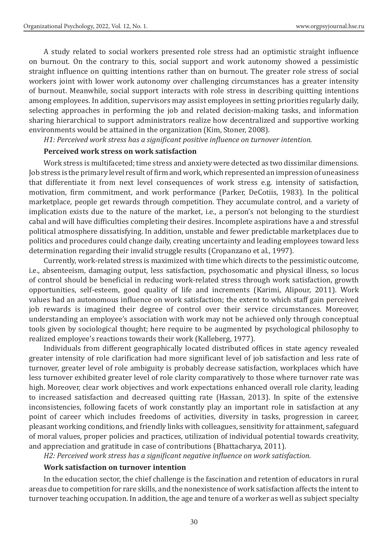A study related to social workers presented role stress had an optimistic straight influence on burnout. On the contrary to this, social support and work autonomy showed a pessimistic straight influence on quitting intentions rather than on burnout. The greater role stress of social workers joint with lower work autonomy over challenging circumstances has a greater intensity of burnout. Meanwhile, social support interacts with role stress in describing quitting intentions among employees. In addition, supervisors may assist employees in setting priorities regularly daily, selecting approaches in performing the job and related decision-making tasks, and information sharing hierarchical to support administrators realize how decentralized and supportive working environments would be attained in the organization (Kim, Stoner, 2008).

*H1: Perceived work stress has a significant positive influence on turnover intention.*

#### **Perceived work stress on work satisfaction**

Work stress is multifaceted; time stress and anxiety were detected as two dissimilar dimensions. Job stress is the primary level result of firm and work, which represented an impression of uneasiness that differentiate it from next level consequences of work stress e.g. intensity of satisfaction, motivation, firm commitment, and work performance (Parker, DeCotiis, 1983). In the political marketplace, people get rewards through competition. They accumulate control, and a variety of implication exists due to the nature of the market, i.e., a person's not belonging to the sturdiest cabal and will have difficulties completing their desires. Incomplete aspirations have a and stressful political atmosphere dissatisfying. In addition, unstable and fewer predictable marketplaces due to politics and procedures could change daily, creating uncertainty and leading employees toward less determination regarding their invalid struggle results (Cropanzano et al., 1997).

Currently, work-related stress is maximized with time which directs to the pessimistic outcome, i.e., absenteeism, damaging output, less satisfaction, psychosomatic and physical illness, so locus of control should be beneficial in reducing work-related stress through work satisfaction, growth opportunities, self-esteem, good quality of life and increments (Karimi, Alipour, 2011). Work values had an autonomous influence on work satisfaction; the extent to which staff gain perceived job rewards is imagined their degree of control over their service circumstances. Moreover, understanding an employee's association with work may not be achieved only through conceptual tools given by sociological thought; here require to be augmented by psychological philosophy to realized employee's reactions towards their work (Kalleberg, 1977).

Individuals from different geographically located distributed offices in state agency revealed greater intensity of role clarification had more significant level of job satisfaction and less rate of turnover, greater level of role ambiguity is probably decrease satisfaction, workplaces which have less turnover exhibited greater level of role clarity comparatively to those where turnover rate was high. Moreover, clear work objectives and work expectations enhanced overall role clarity, leading to increased satisfaction and decreased quitting rate (Hassan, 2013). In spite of the extensive inconsistencies, following facets of work constantly play an important role in satisfaction at any point of career which includes freedoms of activities, diversity in tasks, progression in career, pleasant working conditions, and friendly links with colleagues, sensitivity for attainment, safeguard of moral values, proper policies and practices, utilization of individual potential towards creativity, and appreciation and gratitude in case of contributions (Bhattacharya, 2011).

*H2: Perceived work stress has a significant negative influence on work satisfaction.*

#### **Work satisfaction on turnover intention**

In the education sector, the chief challenge is the fascination and retention of educators in rural areas due to competition for rare skills, and the nonexistence of work satisfaction affects the intent to turnover teaching occupation. In addition, the age and tenure of a worker as well as subject specialty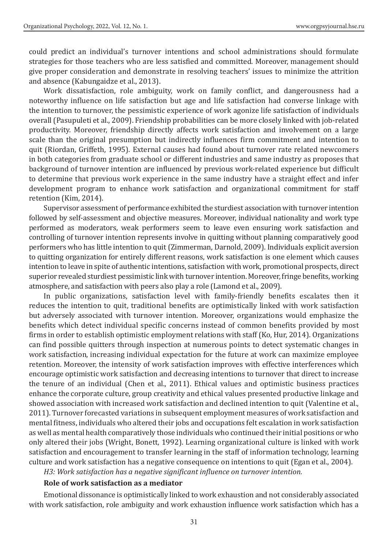could predict an individual's turnover intentions and school administrations should formulate strategies for those teachers who are less satisfied and committed. Moreover, management should give proper consideration and demonstrate in resolving teachers' issues to minimize the attrition and absence (Kabungaidze et al., 2013).

Work dissatisfaction, role ambiguity, work on family conflict, and dangerousness had a noteworthy influence on life satisfaction but age and life satisfaction had converse linkage with the intention to turnover, the pessimistic experience of work agonize life satisfaction of individuals overall (Pasupuleti et al., 2009). Friendship probabilities can be more closely linked with job-related productivity. Moreover, friendship directly affects work satisfaction and involvement on a large scale than the original presumption but indirectly influences firm commitment and intention to quit (Riordan, Griffeth, 1995). External causes had found about turnover rate related newcomers in both categories from graduate school or different industries and same industry as proposes that background of turnover intention are influenced by previous work-related experience but difficult to determine that previous work experience in the same industry have a straight effect and infer development program to enhance work satisfaction and organizational commitment for staff retention (Kim, 2014).

Supervisor assessment of performance exhibited the sturdiest association with turnover intention followed by self-assessment and objective measures. Moreover, individual nationality and work type performed as moderators, weak performers seem to leave even ensuring work satisfaction and controlling of turnover intention represents involve in quitting without planning comparatively good performers who has little intention to quit (Zimmerman, Darnold, 2009). Individuals explicit aversion to quitting organization for entirely different reasons, work satisfaction is one element which causes intention to leave in spite of authentic intentions, satisfaction with work, promotional prospects, direct superior revealed sturdiest pessimistic link with turnover intention. Moreover, fringe benefits, working atmosphere, and satisfaction with peers also play a role (Lamond et al., 2009).

In public organizations, satisfaction level with family-friendly benefits escalates then it reduces the intention to quit, traditional benefits are optimistically linked with work satisfaction but adversely associated with turnover intention. Moreover, organizations would emphasize the benefits which detect individual specific concerns instead of common benefits provided by most firms in order to establish optimistic employment relations with staff (Ko, Hur, 2014). Organizations can find possible quitters through inspection at numerous points to detect systematic changes in work satisfaction, increasing individual expectation for the future at work can maximize employee retention. Moreover, the intensity of work satisfaction improves with effective interferences which encourage optimistic work satisfaction and decreasing intentions to turnover that direct to increase the tenure of an individual (Chen et al., 2011). Ethical values and optimistic business practices enhance the corporate culture, group creativity and ethical values presented productive linkage and showed association with increased work satisfaction and declined intention to quit (Valentine et al., 2011). Turnover forecasted variations in subsequent employment measures of work satisfaction and mental fitness, individuals who altered their jobs and occupations felt escalation in work satisfaction as well as mental health comparatively those individuals who continued their initial positions or who only altered their jobs (Wright, Bonett, 1992). Learning organizational culture is linked with work satisfaction and encouragement to transfer learning in the staff of information technology, learning culture and work satisfaction has a negative consequence on intentions to quit (Egan et al., 2004).

*H3: Work satisfaction has a negative significant influence on turnover intention.*

#### **Role of work satisfaction as a mediator**

Emotional dissonance is optimistically linked to work exhaustion and not considerably associated with work satisfaction, role ambiguity and work exhaustion influence work satisfaction which has a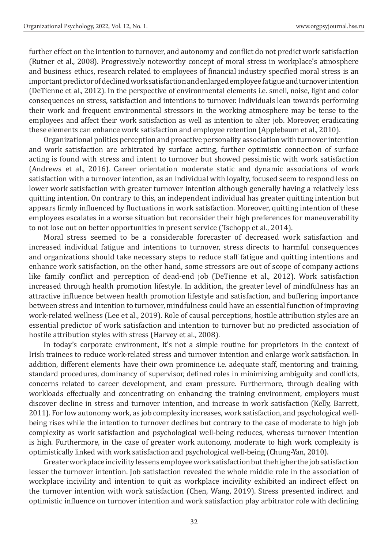further effect on the intention to turnover, and autonomy and conflict do not predict work satisfaction (Rutner et al., 2008). Progressively noteworthy concept of moral stress in workplace's atmosphere and business ethics, research related to employees of financial industry specified moral stress is an important predictor of declined work satisfaction and enlarged employee fatigue and turnover intention (DeTienne et al., 2012). In the perspective of environmental elements i.e. smell, noise, light and color consequences on stress, satisfaction and intentions to turnover. Individuals lean towards performing their work and frequent environmental stressors in the working atmosphere may be tense to the employees and affect their work satisfaction as well as intention to alter job. Moreover, eradicating these elements can enhance work satisfaction and employee retention (Applebaum et al., 2010).

Organizational politics perception and proactive personality association with turnover intention and work satisfaction are arbitrated by surface acting, further optimistic connection of surface acting is found with stress and intent to turnover but showed pessimistic with work satisfaction (Andrews et al., 2016). Career orientation moderate static and dynamic associations of work satisfaction with a turnover intention, as an individual with loyalty, focused seem to respond less on lower work satisfaction with greater turnover intention although generally having a relatively less quitting intention. On contrary to this, an independent individual has greater quitting intention but appears firmly influenced by fluctuations in work satisfaction. Moreover, quitting intention of these employees escalates in a worse situation but reconsider their high preferences for maneuverability to not lose out on better opportunities in present service (Tschopp et al., 2014).

Moral stress seemed to be a considerable forecaster of decreased work satisfaction and increased individual fatigue and intentions to turnover, stress directs to harmful consequences and organizations should take necessary steps to reduce staff fatigue and quitting intentions and enhance work satisfaction, on the other hand, some stressors are out of scope of company actions like family conflict and perception of dead-end job (DeTienne et al., 2012). Work satisfaction increased through health promotion lifestyle. In addition, the greater level of mindfulness has an attractive influence between health promotion lifestyle and satisfaction, and buffering importance between stress and intention to turnover, mindfulness could have an essential function of improving work-related wellness (Lee et al., 2019). Role of causal perceptions, hostile attribution styles are an essential predictor of work satisfaction and intention to turnover but no predicted association of hostile attribution styles with stress (Harvey et al., 2008).

In today's corporate environment, it's not a simple routine for proprietors in the context of Irish trainees to reduce work-related stress and turnover intention and enlarge work satisfaction. In addition, different elements have their own prominence i.e. adequate staff, mentoring and training, standard procedures, dominancy of supervisor, defined roles in minimizing ambiguity and conflicts, concerns related to career development, and exam pressure. Furthermore, through dealing with workloads effectually and concentrating on enhancing the training environment, employers must discover decline in stress and turnover intention, and increase in work satisfaction (Kelly, Barrett, 2011). For low autonomy work, as job complexity increases, work satisfaction, and psychological wellbeing rises while the intention to turnover declines but contrary to the case of moderate to high job complexity as work satisfaction and psychological well-being reduces, whereas turnover intention is high. Furthermore, in the case of greater work autonomy, moderate to high work complexity is optimistically linked with work satisfaction and psychological well-being (Chung-Yan, 2010).

Greater workplace incivility lessens employee work satisfaction but the higher the job satisfaction lesser the turnover intention. Job satisfaction revealed the whole middle role in the association of workplace incivility and intention to quit as workplace incivility exhibited an indirect effect on the turnover intention with work satisfaction (Chen, Wang, 2019). Stress presented indirect and optimistic influence on turnover intention and work satisfaction play arbitrator role with declining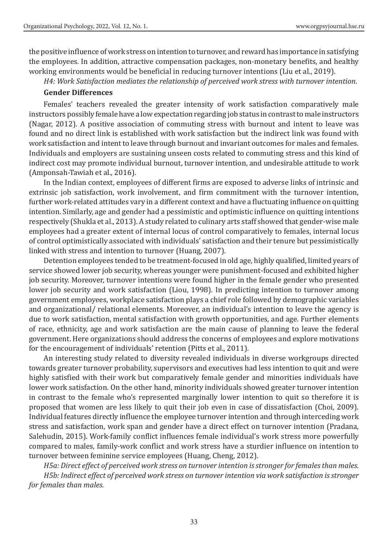the positive influence of work stress on intention to turnover, and reward has importance in satisfying the employees. In addition, attractive compensation packages, non-monetary benefits, and healthy working environments would be beneficial in reducing turnover intentions (Liu et al., 2019).

*H4: Work Satisfaction mediates the relationship of perceived work stress with turnover intention*.

#### **Gender Differences**

Females' teachers revealed the greater intensity of work satisfaction comparatively male instructors possibly female have a low expectation regarding job status in contrast to male instructors (Nagar, 2012). A positive association of commuting stress with burnout and intent to leave was found and no direct link is established with work satisfaction but the indirect link was found with work satisfaction and intent to leave through burnout and invariant outcomes for males and females. Individuals and employers are sustaining unseen costs related to commuting stress and this kind of indirect cost may promote individual burnout, turnover intention, and undesirable attitude to work (Amponsah-Tawiah et al., 2016).

In the Indian context, employees of different firms are exposed to adverse links of intrinsic and extrinsic job satisfaction, work involvement, and firm commitment with the turnover intention, further work-related attitudes vary in a different context and have a fluctuating influence on quitting intention. Similarly, age and gender had a pessimistic and optimistic influence on quitting intentions respectively (Shukla et al., 2013). A study related to culinary arts staff showed that gender-wise male employees had a greater extent of internal locus of control comparatively to females, internal locus of control optimistically associated with individuals' satisfaction and their tenure but pessimistically linked with stress and intention to turnover (Huang, 2007).

Detention employees tended to be treatment-focused in old age, highly qualified, limited years of service showed lower job security, whereas younger were punishment-focused and exhibited higher job security. Moreover, turnover intentions were found higher in the female gender who presented lower job security and work satisfaction (Liou, 1998). In predicting intention to turnover among government employees, workplace satisfaction plays a chief role followed by demographic variables and organizational/ relational elements. Moreover, an individual's intention to leave the agency is due to work satisfaction, mental satisfaction with growth opportunities, and age. Further elements of race, ethnicity, age and work satisfaction are the main cause of planning to leave the federal government. Here organizations should address the concerns of employees and explore motivations for the encouragement of individuals' retention (Pitts et al., 2011).

An interesting study related to diversity revealed individuals in diverse workgroups directed towards greater turnover probability, supervisors and executives had less intention to quit and were highly satisfied with their work but comparatively female gender and minorities individuals have lower work satisfaction. On the other hand, minority individuals showed greater turnover intention in contrast to the female who's represented marginally lower intention to quit so therefore it is proposed that women are less likely to quit their job even in case of dissatisfaction (Choi, 2009). Individual features directly influence the employee turnover intention and through interceding work stress and satisfaction, work span and gender have a direct effect on turnover intention (Pradana, Salehudin, 2015). Work-family conflict influences female individual's work stress more powerfully compared to males, family-work conflict and work stress have a sturdier influence on intention to turnover between feminine service employees (Huang, Cheng, 2012).

*H5a: Direct effect of perceived work stress on turnover intention is stronger for females than males. H5b: Indirect effect of perceived work stress on turnover intention via work satisfaction is stronger for females than males.*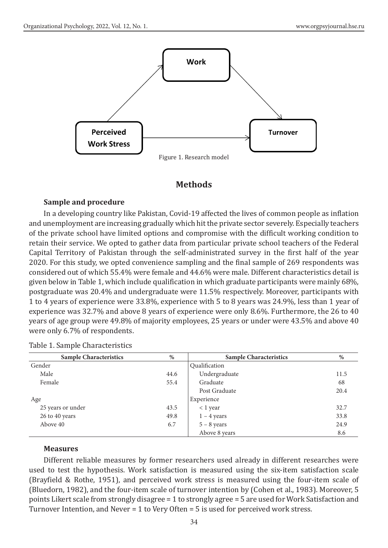

### **Methods**

#### **Sample and procedure**

In a developing country like Pakistan, Covid-19 affected the lives of common people as inflation and unemployment are increasing gradually which hit the private sector severely. Especially teachers of the private school have limited options and compromise with the difficult working condition to retain their service. We opted to gather data from particular private school teachers of the Federal Capital Territory of Pakistan through the self-administrated survey in the first half of the year 2020. For this study, we opted convenience sampling and the final sample of 269 respondents was considered out of which 55.4% were female and 44.6% were male. Different characteristics detail is given below in Table 1, which include qualification in which graduate participants were mainly 68%, postgraduate was 20.4% and undergraduate were 11.5% respectively. Moreover, participants with 1 to 4 years of experience were 33.8%, experience with 5 to 8 years was 24.9%, less than 1 year of experience was 32.7% and above 8 years of experience were only 8.6%. Furthermore, the 26 to 40 years of age group were 49.8% of majority employees, 25 years or under were 43.5% and above 40 were only 6.7% of respondents.

| <b>Sample Characteristics</b> | %    | <b>Sample Characteristics</b> | %    |
|-------------------------------|------|-------------------------------|------|
| Gender                        |      | Qualification                 |      |
| Male                          | 44.6 | Undergraduate                 | 11.5 |
| Female                        | 55.4 | Graduate                      | 68   |
|                               |      | Post Graduate                 | 20.4 |
| Age                           |      | Experience                    |      |
| 25 years or under             | 43.5 | $< 1$ year                    | 32.7 |
| 26 to 40 years                | 49.8 | $1 - 4$ years                 | 33.8 |
| Above 40                      | 6.7  | $5 - 8$ years                 | 24.9 |
|                               |      | Above 8 years                 | 8.6  |

#### Table 1. Sample Characteristics

#### **Measures**

Different reliable measures by former researchers used already in different researches were used to test the hypothesis. Work satisfaction is measured using the six-item satisfaction scale (Brayfield & Rothe, 1951), and perceived work stress is measured using the four-item scale of (Bluedorn, 1982), and the four-item scale of turnover intention by (Cohen et al., 1983). Moreover, 5 points Likert scale from strongly disagree = 1 to strongly agree = 5 are used for Work Satisfaction and Turnover Intention, and Never = 1 to Very Often = 5 is used for perceived work stress.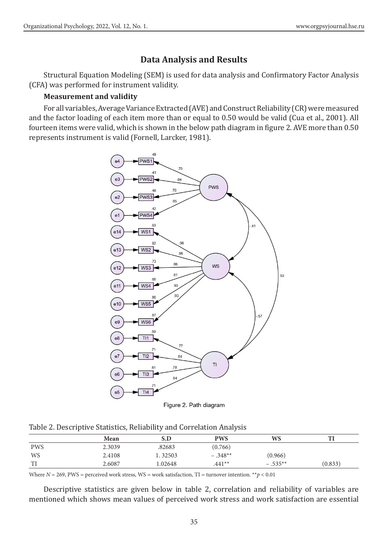### **Data Analysis and Results**

Structural Equation Modeling (SEM) is used for data analysis and Confirmatory Factor Analysis (CFA) was performed for instrument validity.

#### **Measurement and validity**

For all variables, Average Variance Extracted (AVE) and Construct Reliability (CR) were measured and the factor loading of each item more than or equal to 0.50 would be valid (Cua et al., 2001). All fourteen items were valid, which is shown in the below path diagram in figure 2. AVE more than 0.50 represents instrument is valid (Fornell, Larcker, 1981).



Figure 2. Path diagram

Table 2. Descriptive Statistics, Reliability and Correlation Analysis

|            | Mean   | S.D     | <b>PWS</b> | WS        |         |
|------------|--------|---------|------------|-----------|---------|
| <b>PWS</b> | 2.3039 | .82683  | (0.766)    |           |         |
| WS         | 2.4108 | 1.32503 | $-.348**$  | (0.966)   |         |
| TТ         | 2.6087 | 1.02648 | $.441**$   | $-.535**$ | (0.833) |

Where  $N = 269$ , PWS = perceived work stress, WS = work satisfaction, TI = turnover intention. \*\**p* < 0.01

Descriptive statistics are given below in table 2, correlation and reliability of variables are mentioned which shows mean values of perceived work stress and work satisfaction are essential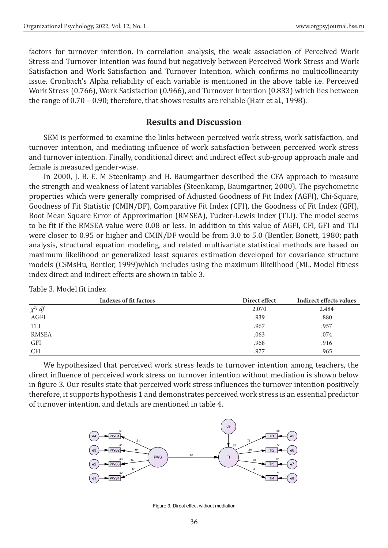factors for turnover intention. In correlation analysis, the weak association of Perceived Work Stress and Turnover Intention was found but negatively between Perceived Work Stress and Work Satisfaction and Work Satisfaction and Turnover Intention, which confirms no multicollinearity issue. Cronbach's Alpha reliability of each variable is mentioned in the above table i.e. Perceived Work Stress (0.766), Work Satisfaction (0.966), and Turnover Intention (0.833) which lies between the range of 0.70 – 0.90; therefore, that shows results are reliable (Hair et al., 1998).

### **Results and Discussion**

SEM is performed to examine the links between perceived work stress, work satisfaction, and turnover intention, and mediating influence of work satisfaction between perceived work stress and turnover intention. Finally, conditional direct and indirect effect sub-group approach male and female is measured gender-wise.

In 2000, J. B. E. M Steenkamp and H. Baumgartner described the CFA approach to measure the strength and weakness of latent variables (Steenkamp, Baumgartner, 2000). The psychometric properties which were generally comprised of Adjusted Goodness of Fit Index (AGFI), Chi-Square, Goodness of Fit Statistic (CMIN/DF), Comparative Fit Index (CFI), the Goodness of Fit Index (GFI), Root Mean Square Error of Approximation (RMSEA), Tucker-Lewis Index (TLI). The model seems to be fit if the RMSEA value were 0.08 or less. In addition to this value of AGFI, CFI, GFI and TLI were closer to 0.95 or higher and CMIN/DF would be from 3.0 to 5.0 (Bentler, Bonett, 1980; path analysis, structural equation modeling, and related multivariate statistical methods are based on maximum likelihood or generalized least squares estimation developed for covariance structure models (CSMsHu, Bentler, 1999)which includes using the maximum likelihood (ML. Model fitness index direct and indirect effects are shown in table 3.

| Indexes of fit factors | Direct effect | Indirect effects values |
|------------------------|---------------|-------------------------|
| $\chi^2$ df            | 2.070         | 2.484                   |
| <b>AGFI</b>            | .939          | .880                    |
| TLI                    | .967          | .957                    |
| <b>RMSEA</b>           | .063          | .074                    |
| GFI                    | .968          | .916                    |
| <b>CFI</b>             | .977          | .965                    |

#### Table 3. Model fit index

We hypothesized that perceived work stress leads to turnover intention among teachers, the direct influence of perceived work stress on turnover intention without mediation is shown below in figure 3. Our results state that perceived work stress influences the turnover intention positively therefore, it supports hypothesis 1 and demonstrates perceived work stress is an essential predictor of turnover intention. and details are mentioned in table 4.



Figure 3. Direct effect without mediation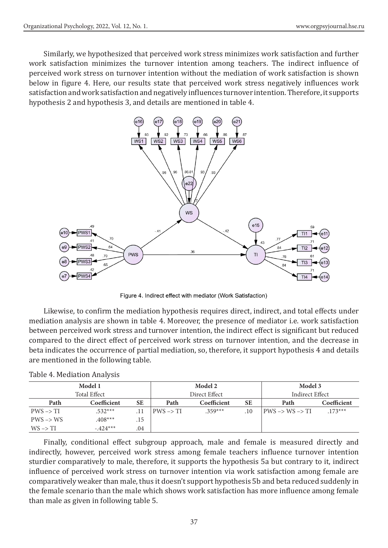Similarly, we hypothesized that perceived work stress minimizes work satisfaction and further work satisfaction minimizes the turnover intention among teachers. The indirect influence of perceived work stress on turnover intention without the mediation of work satisfaction is shown below in figure 4. Here, our results state that perceived work stress negatively influences work satisfaction and work satisfaction and negatively influences turnover intention. Therefore, it supports hypothesis 2 and hypothesis 3, and details are mentioned in table 4.



Figure 4. Indirect effect with mediator (Work Satisfaction)

Likewise, to confirm the mediation hypothesis requires direct, indirect, and total effects under mediation analysis are shown in table 4. Moreover, the presence of mediator i.e. work satisfaction between perceived work stress and turnover intention, the indirect effect is significant but reduced compared to the direct effect of perceived work stress on turnover intention, and the decrease in beta indicates the occurrence of partial mediation, so, therefore, it support hypothesis 4 and details are mentioned in the following table.

| Model 1              |              |           | Model 2              |             |                 | Model 3                             |             |  |
|----------------------|--------------|-----------|----------------------|-------------|-----------------|-------------------------------------|-------------|--|
|                      | Total Effect |           | Direct Effect        |             | Indirect Effect |                                     |             |  |
| Path                 | Coefficient  | <b>SE</b> | Path                 | Coefficient | <b>SE</b>       | Path                                | Coefficient |  |
| $PWS \rightarrow TI$ | $.532***$    | .11       | $PWS \rightarrow TI$ | $.359***$   | .10             | $PWS \rightarrow WS \rightarrow TI$ | $173***$    |  |
| $PWS \rightarrow WS$ | $.408***$    | .15       |                      |             |                 |                                     |             |  |
| $WS \rightarrow TI$  | $-.424***$   | .04       |                      |             |                 |                                     |             |  |

| Table 4. Mediation Analysis |
|-----------------------------|
|                             |

Finally, conditional effect subgroup approach, male and female is measured directly and indirectly, however, perceived work stress among female teachers influence turnover intention sturdier comparatively to male, therefore, it supports the hypothesis 5a but contrary to it, indirect influence of perceived work stress on turnover intention via work satisfaction among female are comparatively weaker than male, thus it doesn't support hypothesis 5b and beta reduced suddenly in the female scenario than the male which shows work satisfaction has more influence among female than male as given in following table 5.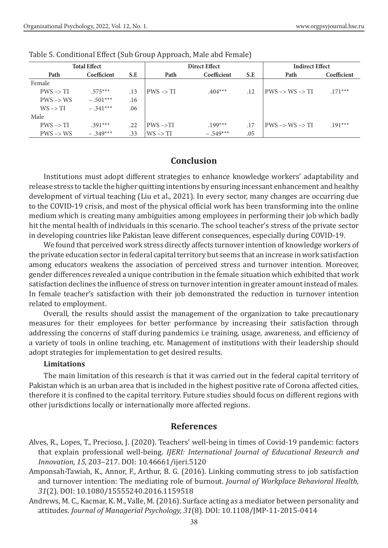| <b>Total Effect</b>  |             | <b>Direct Effect</b> |                      |             | <b>Indirect Effect</b> |                                     |             |
|----------------------|-------------|----------------------|----------------------|-------------|------------------------|-------------------------------------|-------------|
| Path                 | Coefficient | S.E                  | Path                 | Coefficient | S.E                    | Path                                | Coefficient |
| Female               |             |                      |                      |             |                        |                                     |             |
| $PWS \rightarrow TI$ | $.575***$   | .13                  | $PWS \rightarrow TI$ | $.404***$   | .12                    | $PWS \rightarrow WS \rightarrow TI$ | $.171***$   |
| $PWS \rightarrow WS$ | $-.501***$  | .16                  |                      |             |                        |                                     |             |
| $WS \rightarrow TI$  | $-.341***$  | .06                  |                      |             |                        |                                     |             |
| Male                 |             |                      |                      |             |                        |                                     |             |
| $PWS \rightarrow TI$ | $.391***$   | .22                  | $PWS \rightarrow TI$ | $.199***$   | .17                    | $PWS \rightarrow WS \rightarrow TI$ | $.191***$   |
| $PWS \rightarrow WS$ | $-.349***$  | .33                  | $WS \rightarrow TI$  | $-.549***$  | .05                    |                                     |             |

Table 5. Conditional Effect (Sub Group Approach, Male abd Female)

### **Conclusion**

Institutions must adopt different strategies to enhance knowledge workers' adaptability and release stress to tackle the higher quitting intentions by ensuring incessant enhancement and healthy development of virtual teaching (Liu et al., 2021). In every sector, many changes are occurring due to the COVID-19 crisis, and most of the physical official work has been transforming into the online medium which is creating many ambiguities among employees in performing their job which badly hit the mental health of individuals in this scenario. The school teacher's stress of the private sector in developing countries like Pakistan leave different consequences, especially during COVID-19.

We found that perceived work stress directly affects turnover intention of knowledge workers of the private education sector in federal capital territory but seems that an increase in work satisfaction among educators weakens the association of perceived stress and turnover intention. Moreover, gender differences revealed a unique contribution in the female situation which exhibited that work satisfaction declines the influence of stress on turnover intention in greater amount instead of males. In female teacher's satisfaction with their job demonstrated the reduction in turnover intention related to employment.

Overall, the results should assist the management of the organization to take precautionary measures for their employees for better performance by increasing their satisfaction through addressing the concerns of staff during pandemics i.e training, usage, awareness, and efficiency of a variety of tools in online teaching, etc. Management of institutions with their leadership should adopt strategies for implementation to get desired results.

#### **Limitations**

The main limitation of this research is that it was carried out in the federal capital territory of Pakistan which is an urban area that is included in the highest positive rate of Corona affected cities, therefore it is confined to the capital territory. Future studies should focus on different regions with other jurisdictions locally or internationally more affected regions.

#### **References**

- Alves, R., Lopes, T., Precioso, J. (2020). Teachers' well-being in times of Covid-19 pandemic: factors that explain professional well-being. *IJERI: International Journal of Educational Research and Innovation, 15*, 203–217. DOI: 10.46661/ijeri.5120
- Amponsah-Tawiah, K., Annor, F., Arthur, B. G. (2016). Linking commuting stress to job satisfaction and turnover intention: The mediating role of burnout. *Journal of Workplace Behavioral Health, 31*(2). DOI: 10.1080/15555240.2016.1159518
- Andrews, M. C., Kacmar, K. M., Valle, M. (2016). Surface acting as a mediator between personality and attitudes. *Journal of Managerial Psychology, 31*(8). DOI: 10.1108/JMP-11-2015-0414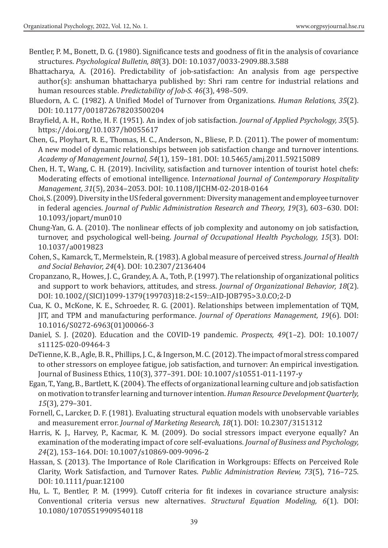- Bentler, P. M., Bonett, D. G. (1980). Significance tests and goodness of fit in the analysis of covariance structures. *Psychological Bulletin, 88*(3). DOI: 10.1037/0033-2909.88.3.588
- Bhattacharya, A. (2016). Predictability of job-satisfaction: An analysis from age perspective author(s): anshuman bhattacharya published by: Shri ram centre for industrial relations and human resources stable. *Predictability of Job-S. 46*(3), 498–509.
- Bluedorn, A. C. (1982). A Unified Model of Turnover from Organizations. *Human Relations, 35*(2). DOI: 10.1177/001872678203500204
- Brayfield, A. H., Rothe, H. F. (1951). An index of job satisfaction. *Journal of Applied Psychology, 35*(5). https://doi.org/10.1037/h0055617
- Chen, G., Ployhart, R. E., Thomas, H. C., Anderson, N., Bliese, P. D. (2011). The power of momentum: A new model of dynamic relationships between job satisfaction change and turnover intentions. *Academy of Management Journal, 54*(1), 159–181. DOI: 10.5465/amj.2011.59215089
- Chen, H. T., Wang, C. H. (2019). Incivility, satisfaction and turnover intention of tourist hotel chefs: Moderating effects of emotional intelligence. I*nternational Journal of Contemporary Hospitality Management, 31*(5), 2034–2053. DOI: 10.1108/IJCHM-02-2018-0164
- Choi, S. (2009). Diversity in the US federal government: Diversity management and employee turnover in federal agencies. *Journal of Public Administration Research and Theory, 19*(3), 603–630. DOI: 10.1093/jopart/mun010
- Chung-Yan, G. A. (2010). The nonlinear effects of job complexity and autonomy on job satisfaction, turnover, and psychological well-being. *Journal of Occupational Health Psychology, 15*(3). DOI: 10.1037/a0019823
- Cohen, S., Kamarck, T., Mermelstein, R. (1983). A global measure of perceived stress. *Journal of Health and Social Behavior, 24*(4). DOI: 10.2307/2136404
- Cropanzano, R., Howes, J. C., Grandey, A. A., Toth, P. (1997). The relationship of organizational politics and support to work behaviors, attitudes, and stress. *Journal of Organizational Behavior, 18*(2). DOI: 10.1002/(SICI)1099-1379(199703)18:2<159::AID-JOB795>3.0.CO;2-D
- Cua, K. O., McKone, K. E., Schroeder, R. G. (2001). Relationships between implementation of TQM, JIT, and TPM and manufacturing performance. *Journal of Operations Management, 19*(6). DOI: 10.1016/S0272-6963(01)00066-3
- Daniel, S. J. (2020). Education and the COVID-19 pandemic. *Prospects, 49*(1–2). DOI: 10.1007/ s11125-020-09464-3
- DeTienne, K. B., Agle, B. R., Phillips, J. C., & Ingerson, M. C. (2012). The impact of moral stress compared to other stressors on employee fatigue, job satisfaction, and turnover: An empirical investigation. Journal of Business Ethics, 110(3), 377–391. DOI: 10.1007/s10551-011-1197-y
- Egan, T., Yang, B., Bartlett, K. (2004). The effects of organizational learning culture and job satisfaction on motivation to transfer learning and turnover intention. *Human Resource Development Quarterly, 15*(3), 279–301.
- Fornell, C., Larcker, D. F. (1981). Evaluating structural equation models with unobservable variables and measurement error. *Journal of Marketing Research, 18*(1). DOI: 10.2307/3151312
- Harris, K. J., Harvey, P., Kacmar, K. M. (2009). Do social stressors impact everyone equally? An examination of the moderating impact of core self-evaluations. *Journal of Business and Psychology, 24*(2), 153–164. DOI: 10.1007/s10869-009-9096-2
- Hassan, S. (2013). The Importance of Role Clarification in Workgroups: Effects on Perceived Role Clarity, Work Satisfaction, and Turnover Rates. *Public Administration Review, 73*(5), 716–725. DOI: 10.1111/puar.12100
- Hu, L. T., Bentler, P. M. (1999). Cutoff criteria for fit indexes in covariance structure analysis: Conventional criteria versus new alternatives. *Structural Equation Modeling, 6*(1). DOI: 10.1080/10705519909540118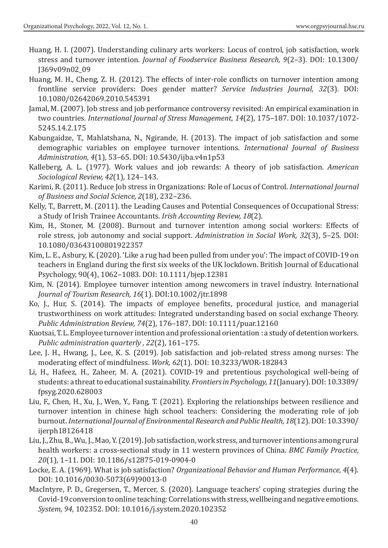- Huang, H. I. (2007). Understanding culinary arts workers: Locus of control, job satisfaction, work stress and turnover intention. *Journal of Foodservice Business Research, 9*(2–3). DOI: 10.1300/ J369v09n02\_09
- Huang, M. H., Cheng, Z. H. (2012). The effects of inter-role conflicts on turnover intention among frontline service providers: Does gender matter? *Service Industries Journal, 32*(3). DOI: 10.1080/02642069.2010.545391
- Jamal, M. (2007). Job stress and job performance controversy revisited: An empirical examination in two countries. *International Journal of Stress Management, 14*(2), 175–187. DOI: 10.1037/1072- 5245.14.2.175
- Kabungaidze, T., Mahlatshana, N., Ngirande, H. (2013). The impact of job satisfaction and some demographic variables on employee turnover intentions. *International Journal of Business Administration, 4*(1), 53–65. DOI: 10.5430/ijba.v4n1p53
- Kalleberg, A. L. (1977). Work values and job rewards: A theory of job satisfaction. *American Sociological Review, 42*(1), 124–143.
- Karimi, R. (2011). Reduce Job stress in Organizations: Role of Locus of Control. *International Journal of Business and Social Science, 2*(18), 232–236.
- Kelly, T., Barrett, M. (2011). the Leading Causes and Potential Consequences of Occupational Stress: a Study of Irish Trainee Accountants. *Irish Accounting Review, 18*(2).
- Kim, H., Stoner, M. (2008). Burnout and turnover intention among social workers: Effects of role stress, job autonomy and social support. *Administration in Social Work, 32*(3), 5–25. DOI: 10.1080/03643100801922357
- Kim, L. E., Asbury, K. (2020). 'Like a rug had been pulled from under you': The impact of COVID-19 on teachers in England during the first six weeks of the UK lockdown. British Journal of Educational Psychology, 90(4), 1062–1083. DOI: 10.1111/bjep.12381
- Kim, N. (2014). Employee turnover intention among newcomers in travel industry. International *Journal of Tourism Research, 16*(1). DOI:10.1002/jtr.1898
- Ko, J., Hur, S. (2014). The impacts of employee benefits, procedural justice, and managerial trustworthiness on work attitudes: Integrated understanding based on social exchange Theory. *Public Administration Review, 74*(2), 176–187. DOI: 10.1111/puar.12160
- Kuotsai, T. L. Employee turnover intention and professional orientation : a study of detention workers. *Public administration quarterly , 22*(2), 161–175.
- Lee, J. H., Hwang, J., Lee, K. S. (2019). Job satisfaction and job-related stress among nurses: The moderating effect of mindfulness. *Work, 62*(1). DOI: 10.3233/WOR-182843
- Li, H., Hafeez, H., Zaheer, M. A. (2021). COVID-19 and pretentious psychological well-being of students: a threat to educational sustainability. *Frontiers in Psychology, 11*(January). DOI: 10.3389/ fpsyg.2020.628003
- Liu, F., Chen, H., Xu, J., Wen, Y., Fang, T. (2021). Exploring the relationships between resilience and turnover intention in chinese high school teachers: Considering the moderating role of job burnout. *International Journal of Environmental Research and Public Health, 18*(12). DOI: 10.3390/ ijerph18126418
- Liu, J., Zhu, B., Wu, J., Mao, Y. (2019). Job satisfaction, work stress, and turnover intentions among rural health workers: a cross-sectional study in 11 western provinces of China. *BMC Family Practice, 20*(1), 1–11. DOI: 10.1186/s12875-019-0904-0
- Locke, E. A. (1969). What is job satisfaction? *Organizational Behavior and Human Performance, 4*(4). DOI: 10.1016/0030-5073(69)90013-0
- MacIntyre, P. D., Gregersen, T., Mercer, S. (2020). Language teachers' coping strategies during the Covid-19 conversion to online teaching: Correlations with stress, wellbeing and negative emotions. *System, 94*, 102352. DOI: 10.1016/j.system.2020.102352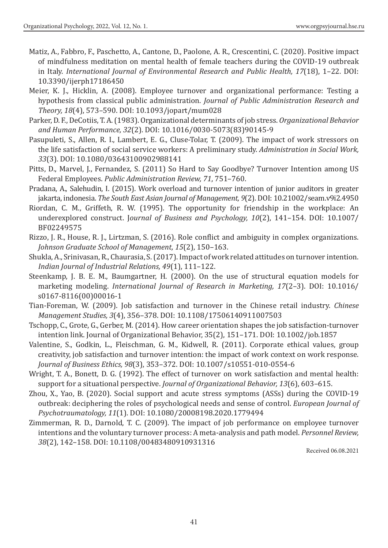- Matiz, A., Fabbro, F., Paschetto, A., Cantone, D., Paolone, A. R., Crescentini, C. (2020). Positive impact of mindfulness meditation on mental health of female teachers during the COVID-19 outbreak in Italy. *International Journal of Environmental Research and Public Health, 17*(18), 1–22. DOI: 10.3390/ijerph17186450
- Meier, K. J., Hicklin, A. (2008). Employee turnover and organizational performance: Testing a hypothesis from classical public administration. *Journal of Public Administration Research and Theory, 18*(4), 573–590. DOI: 10.1093/jopart/mum028
- Parker, D. F., DeCotiis, T. A. (1983). Organizational determinants of job stress. *Organizational Behavior and Human Performance, 32*(2). DOI: 10.1016/0030-5073(83)90145-9
- Pasupuleti, S., Allen, R. I., Lambert, E. G., Cluse-Tolar, T. (2009). The impact of work stressors on the life satisfaction of social service workers: A preliminary study. *Administration in Social Work, 33*(3). DOI: 10.1080/03643100902988141
- Pitts, D., Marvel, J., Fernandez, S. (2011) So Hard to Say Goodbye? Turnover Intention among US Federal Employees. *Public Administration Review, 71*, 751–760.
- Pradana, A., Salehudin, I. (2015). Work overload and turnover intention of junior auditors in greater jakarta, indonesia. *The South East Asian Journal of Management, 9*(2). DOI: 10.21002/seam.v9i2.4950
- Riordan, C. M., Griffeth, R. W. (1995). The opportunity for friendship in the workplace: An underexplored construct. J*ournal of Business and Psychology, 10*(2), 141–154. DOI: 10.1007/ BF02249575
- Rizzo, J. R., House, R. J., Lirtzman, S. (2016). Role conflict and ambiguity in complex organizations. *Johnson Graduate School of Management, 15*(2), 150–163.
- Shukla, A., Srinivasan, R., Chaurasia, S. (2017). Impact of work related attitudes on turnover intention. *Indian Journal of Industrial Relations, 49*(1), 111–122.
- Steenkamp, J. B. E. M., Baumgartner, H. (2000). On the use of structural equation models for marketing modeling. *International Journal of Research in Marketing, 17*(2–3). DOI: 10.1016/ s0167-8116(00)00016-1
- Tian-Foreman, W. (2009). Job satisfaction and turnover in the Chinese retail industry. *Chinese Management Studies, 3*(4), 356–378. DOI: 10.1108/17506140911007503
- Tschopp, C., Grote, G., Gerber, M. (2014). How career orientation shapes the job satisfaction-turnover intention link. Journal of Organizational Behavior, 35(2), 151–171. DOI: 10.1002/job.1857
- Valentine, S., Godkin, L., Fleischman, G. M., Kidwell, R. (2011). Corporate ethical values, group creativity, job satisfaction and turnover intention: the impact of work context on work response. *Journal of Business Ethics, 98*(3), 353–372. DOI: 10.1007/s10551-010-0554-6
- Wright, T. A., Bonett, D. G. (1992). The effect of turnover on work satisfaction and mental health: support for a situational perspective. *Journal of Organizational Behavior, 13*(6), 603–615.
- Zhou, X., Yao, B. (2020). Social support and acute stress symptoms (ASSs) during the COVID-19 outbreak: deciphering the roles of psychological needs and sense of control. *European Journal of Psychotraumatology, 11*(1). DOI: 10.1080/20008198.2020.1779494
- Zimmerman, R. D., Darnold, T. C. (2009). The impact of job performance on employee turnover intentions and the voluntary turnover process: A meta-analysis and path model. *Personnel Review, 38*(2), 142–158. DOI: 10.1108/00483480910931316

Received 06.08.2021